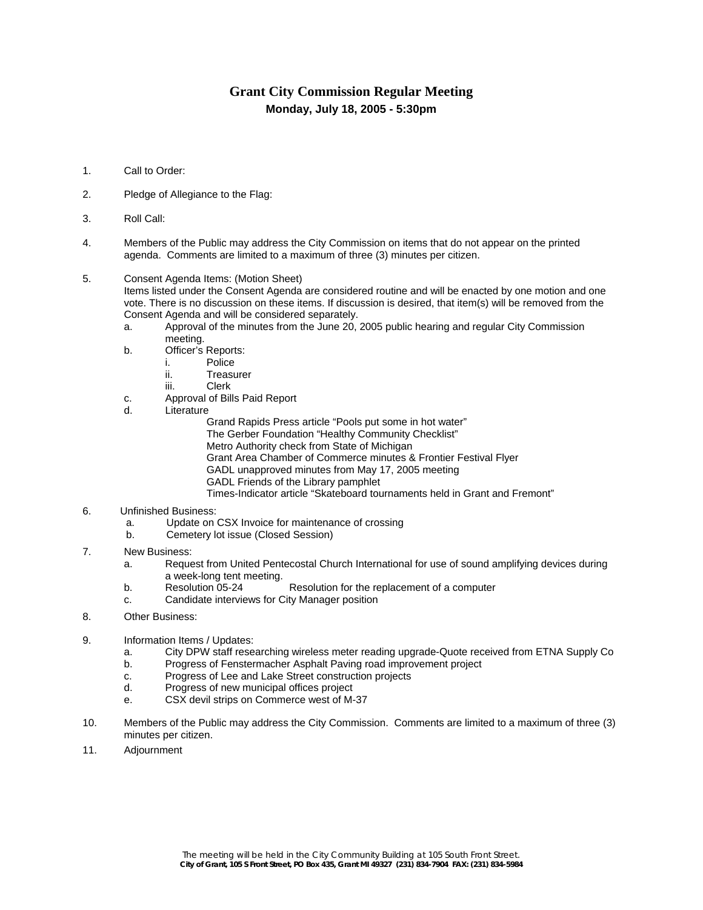# **Grant City Commission Regular Meeting Monday, July 18, 2005 - 5:30pm**

- 1. Call to Order:
- 2. Pledge of Allegiance to the Flag:
- 3. Roll Call:
- 4. Members of the Public may address the City Commission on items that do not appear on the printed agenda. Comments are limited to a maximum of three (3) minutes per citizen.
- 5. Consent Agenda Items: (Motion Sheet)

Items listed under the Consent Agenda are considered routine and will be enacted by one motion and one vote. There is no discussion on these items. If discussion is desired, that item(s) will be removed from the Consent Agenda and will be considered separately.

- a. Approval of the minutes from the June 20, 2005 public hearing and regular City Commission meeting.
- b. Officer's Reports:
	- i. Police
	- ii. Treasurer
	- iii. Clerk
- c. Approval of Bills Paid Report
- d. Literature

Grand Rapids Press article "Pools put some in hot water"

The Gerber Foundation "Healthy Community Checklist"

Metro Authority check from State of Michigan

Grant Area Chamber of Commerce minutes & Frontier Festival Flyer

- GADL unapproved minutes from May 17, 2005 meeting
- GADL Friends of the Library pamphlet

Times-Indicator article "Skateboard tournaments held in Grant and Fremont"

- 6. Unfinished Business:
	- a. Update on CSX Invoice for maintenance of crossing
	- b. Cemetery lot issue (Closed Session)
- 7. New Business:
	- a. Request from United Pentecostal Church International for use of sound amplifying devices during a week-long tent meeting.<br>Resolution 05-24
	- b. Resolution 05-24 Resolution for the replacement of a computer
	- c. Candidate interviews for City Manager position
- 8. Other Business:
- 9. Information Items / Updates:
	- a. City DPW staff researching wireless meter reading upgrade-Quote received from ETNA Supply Co
	- b. Progress of Fenstermacher Asphalt Paving road improvement project
	- c. Progress of Lee and Lake Street construction projects
	- d. Progress of new municipal offices project
	- e. CSX devil strips on Commerce west of M-37
- 10. Members of the Public may address the City Commission. Comments are limited to a maximum of three (3) minutes per citizen.
- 11. Adjournment